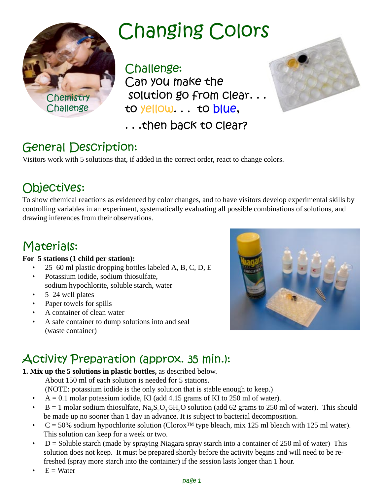

## **Changing Colors**

Challenge: Can you make the solution go from Clear... to yellow... to blue,

... then back to clear?

### **General Description:**

Visitors work with 5 solutions that, if added in the correct order, react to change colors.

### Objectives:

To show chemical reactions as evidenced by color changes, and to have visitors develop experimental skills by controlling variables in an experiment, systematically evaluating all possible combinations of solutions, and drawing inferences from their observations.

### Materials:

#### **For 5 stations (1 child per station):**

- 25 60 ml plastic dropping bottles labeled A, B, C, D, E
- Potassium iodide, sodium thiosulfate, sodium hypochlorite, soluble starch, water
- 5 24 well plates
- Paper towels for spills
- A container of clean water
- A safe container to dump solutions into and seal (waste container)



### Activity Preparation (approx. 35 min.):

**1. Mix up the 5 solutions in plastic bottles,** as described below.

About 150 ml of each solution is needed for 5 stations.

(NOTE: potassium iodide is the only solution that is stable enough to keep.)

- $A = 0.1$  molar potassium iodide, KI (add 4.15 grams of KI to 250 ml of water).
- B = 1 molar sodium thiosulfate,  $Na_2S_2O_3$ :5H<sub>2</sub>O solution (add 62 grams to 250 ml of water). This should be made up no sooner than 1 day in advance. It is subject to bacterial decomposition.
- $C = 50\%$  sodium hypochlorite solution (Clorox<sup>™</sup> type bleach, mix 125 ml bleach with 125 ml water). This solution can keep for a week or two.
- $D =$  Soluble starch (made by spraying Niagara spray starch into a container of 250 ml of water) This solution does not keep. It must be prepared shortly before the activity begins and will need to be refreshed (spray more starch into the container) if the session lasts longer than 1 hour.
- $E = Water$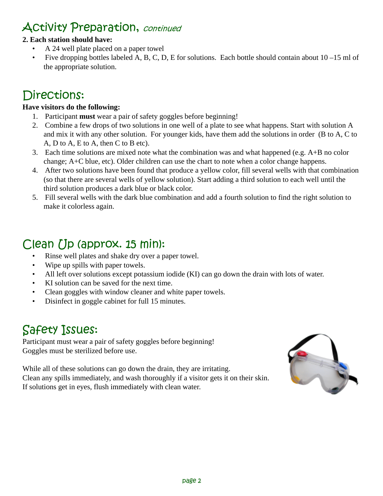### Activity Preparation, continued

#### **2. Each station should have:**

- A 24 well plate placed on a paper towel
- Five dropping bottles labeled A, B, C, D, E for solutions. Each bottle should contain about  $10 15$  ml of the appropriate solution.

### Directions:

#### **Have visitors do the following:**

- 1. Participant **must** wear a pair of safety goggles before beginning!
- 2. Combine a few drops of two solutions in one well of a plate to see what happens. Start with solution A and mix it with any other solution. For younger kids, have them add the solutions in order (B to A, C to A, D to A, E to A, then C to B etc).
- 3. Each time solutions are mixed note what the combination was and what happened (e.g.  $A+B$  no color change; A+C blue, etc). Older children can use the chart to note when a color change happens.
- 4. After two solutions have been found that produce a yellow color, fill several wells with that combination (so that there are several wells of yellow solution). Start adding a third solution to each well until the third solution produces a dark blue or black color.
- 5. Fill several wells with the dark blue combination and add a fourth solution to find the right solution to make it colorless again.

### Clean Up (approx. 15 min):

- Rinse well plates and shake dry over a paper towel.
- Wipe up spills with paper towels.
- All left over solutions except potassium iodide (KI) can go down the drain with lots of water.
- KI solution can be saved for the next time.
- Clean goggles with window cleaner and white paper towels.
- Disinfect in goggle cabinet for full 15 minutes.

### Safety Issues:

Participant must wear a pair of safety goggles before beginning! Goggles must be sterilized before use.

While all of these solutions can go down the drain, they are irritating. Clean any spills immediately, and wash thoroughly if a visitor gets it on their skin. If solutions get in eyes, flush immediately with clean water.

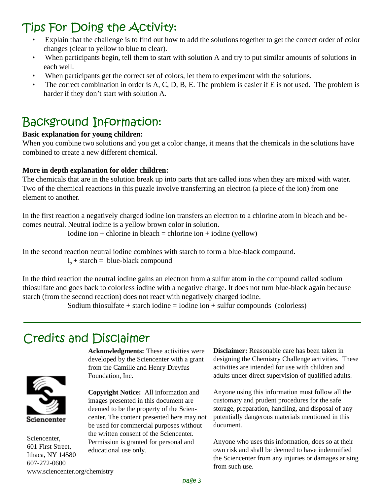### Tips For Doing the Activity:

- Explain that the challenge is to find out how to add the solutions together to get the correct order of color changes (clear to yellow to blue to clear).
- When participants begin, tell them to start with solution A and try to put similar amounts of solutions in each well.
- When participants get the correct set of colors, let them to experiment with the solutions.
- The correct combination in order is A, C, D, B, E. The problem is easier if E is not used. The problem is harder if they don't start with solution A.

### Background Information:

#### **Basic explanation for young children:**

When you combine two solutions and you get a color change, it means that the chemicals in the solutions have combined to create a new different chemical.

#### **More in depth explanation for older children:**

The chemicals that are in the solution break up into parts that are called ions when they are mixed with water. Two of the chemical reactions in this puzzle involve transferring an electron (a piece of the ion) from one element to another.

In the first reaction a negatively charged iodine ion transfers an electron to a chlorine atom in bleach and becomes neutral. Neutral iodine is a yellow brown color in solution.

Iodine ion + chlorine in bleach = chlorine ion + iodine (yellow)

In the second reaction neutral iodine combines with starch to form a blue-black compound.  $I_2$  + starch = blue-black compound

In the third reaction the neutral iodine gains an electron from a sulfur atom in the compound called sodium thiosulfate and goes back to colorless iodine with a negative charge. It does not turn blue-black again because starch (from the second reaction) does not react with negatively charged iodine.

Sodium thiosulfate  $+$  starch iodine  $=$  Iodine ion  $+$  sulfur compounds (colorless)

### **Credits and Disclaimer**



Sciencenter, 601 First Street, Ithaca, NY 14580 607-272-0600 www.sciencenter.org/chemistry

**Acknowledgments:** These activities were developed by the Sciencenter with a grant from the Camille and Henry Dreyfus Foundation, Inc.

**Copyright Notice:** All information and images presented in this document are deemed to be the property of the Sciencenter. The content presented here may not be used for commercial purposes without the written consent of the Sciencenter. Permission is granted for personal and educational use only.

**Disclaimer:** Reasonable care has been taken in designing the Chemistry Challenge activities. These activities are intended for use with children and adults under direct supervision of qualified adults.

Anyone using this information must follow all the customary and prudent procedures for the safe storage, preparation, handling, and disposal of any potentially dangerous materials mentioned in this document.

Anyone who uses this information, does so at their own risk and shall be deemed to have indemnified the Sciencenter from any injuries or damages arising from such use.